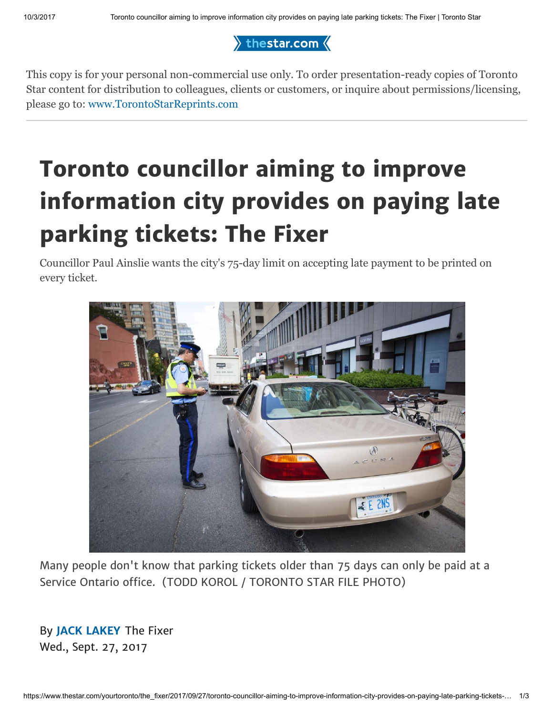$\rangle$  thestar.com  $\langle$ 

This copy is for your personal non-commercial use only. To order presentation-ready copies of Toronto Star content for distribution to colleagues, clients or customers, or inquire about permissions/licensing, please go to: [www.TorontoStarReprints.com](http://www.torontostarreprints.com/)

## Toronto councillor aiming to improve information city provides on paying late parking tickets: The Fixer

Councillor Paul Ainslie wants the city's 75-day limit on accepting late payment to be printed on every ticket.



Many people don't know that parking tickets older than 75 days can only be paid at a Service Ontario office. (TODD KOROL / TORONTO STAR FILE PHOTO)

By [JACK LAKEY](https://www.thestar.com/authors.lakey_jack.html) The Fixer Wed., Sept. 27, 2017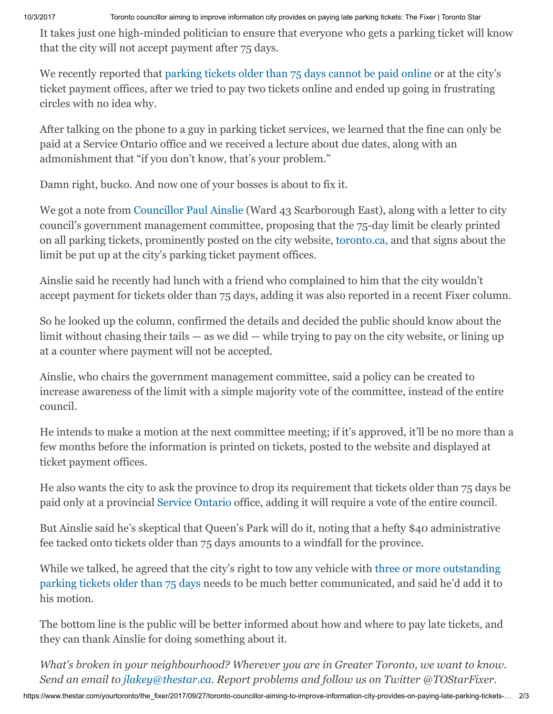It takes just one high-minded politician to ensure that everyone who gets a parking ticket will know that the city will not accept payment after 75 days.

We recently reported that [parking tickets older than 75 days cannot be paid online](https://www.thestar.com/yourtoronto/the_fixer/2017/09/11/parking-ticket-older-than-75-days-city-of-toronto-wont-take-your-money.html) or at the city's ticket payment offices, after we tried to pay two tickets online and ended up going in frustrating circles with no idea why.

After talking on the phone to a guy in parking ticket services, we learned that the fine can only be paid at a Service Ontario office and we received a lecture about due dates, along with an admonishment that "if you don't know, that's your problem."

Damn right, bucko. And now one of your bosses is about to fix it.

We got a note from [Councillor Paul Ainslie](https://web.toronto.ca/city-government/council/members-of-council/councillor-paul-ainslie/) (Ward 43 Scarborough East), along with a letter to city council's government management committee, proposing that the 75-day limit be clearly printed on all parking tickets, prominently posted on the city website, [toronto.ca,](https://www1.toronto.ca/wps/portal/contentonly?vgnextoid=9402fc2beecb1410VgnVCM10000071d60f89RCRD) and that signs about the limit be put up at the city's parking ticket payment offices.

Ainslie said he recently had lunch with a friend who complained to him that the city wouldn't accept payment for tickets older than 75 days, adding it was also reported in a recent Fixer column.

So he looked up the column, confirmed the details and decided the public should know about the limit without chasing their tails — as we did — while trying to pay on the city website, or lining up at a counter where payment will not be accepted.

Ainslie, who chairs the government management committee, said a policy can be created to increase awareness of the limit with a simple majority vote of the committee, instead of the entire council.

He intends to make a motion at the next committee meeting; if it's approved, it'll be no more than a few months before the information is printed on tickets, posted to the website and displayed at ticket payment offices.

He also wants the city to ask the province to drop its requirement that tickets older than 75 days be paid only at a provincial [Service Ontario](https://www.ontario.ca/page/serviceontario) office, adding it will require a vote of the entire council.

But Ainslie said he's skeptical that Queen's Park will do it, noting that a hefty \$40 administrative fee tacked onto tickets older than 75 days amounts to a windfall for the province.

While we talked, he agreed that the city's right to tow any vehicle with three or more outstanding [parking tickets older than 75 days needs to be much better communicated, and said he'd add it to](https://www.thestar.com/yourtoronto/the_fixer/2017/09/17/three-or-more-unpaid-parking-tickets-you-could-be-towed.html) his motion.

The bottom line is the public will be better informed about how and where to pay late tickets, and they can thank Ainslie for doing something about it.

*What's broken in your neighbourhood? Wherever you are in Greater Toronto, we want to know. Send an email to [jlakey@thestar.ca](mailto:jlakey@thestar.ca). Report problems and follow us on Twitter @TOStarFixer.*